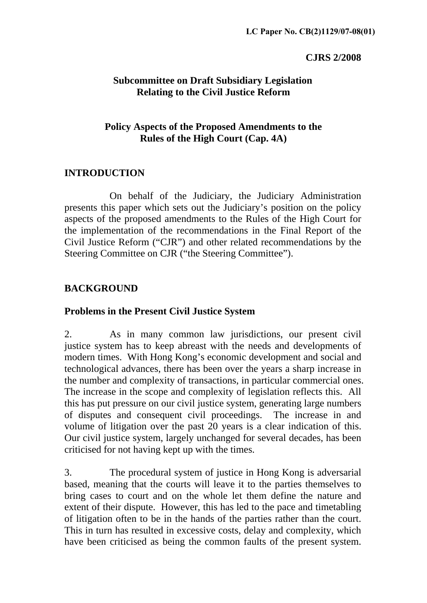#### **CJRS 2/2008**

#### **Subcommittee on Draft Subsidiary Legislation Relating to the Civil Justice Reform**

### **Policy Aspects of the Proposed Amendments to the Rules of the High Court (Cap. 4A)**

### 2B**INTRODUCTION**

 On behalf of the Judiciary, the Judiciary Administration presents this paper which sets out the Judiciary's position on the policy aspects of the proposed amendments to the Rules of the High Court for the implementation of the recommendations in the Final Report of the Civil Justice Reform ("CJR") and other related recommendations by the Steering Committee on CJR ("the Steering Committee").

### **BACKGROUND**

#### 3B**Problems in the Present Civil Justice System**

2. As in many common law jurisdictions, our present civil justice system has to keep abreast with the needs and developments of modern times. With Hong Kong's economic development and social and technological advances, there has been over the years a sharp increase in the number and complexity of transactions, in particular commercial ones. The increase in the scope and complexity of legislation reflects this. All this has put pressure on our civil justice system, generating large numbers of disputes and consequent civil proceedings. The increase in and volume of litigation over the past 20 years is a clear indication of this. Our civil justice system, largely unchanged for several decades, has been criticised for not having kept up with the times.

3. The procedural system of justice in Hong Kong is adversarial based, meaning that the courts will leave it to the parties themselves to bring cases to court and on the whole let them define the nature and extent of their dispute. However, this has led to the pace and timetabling of litigation often to be in the hands of the parties rather than the court. This in turn has resulted in excessive costs, delay and complexity, which have been criticised as being the common faults of the present system.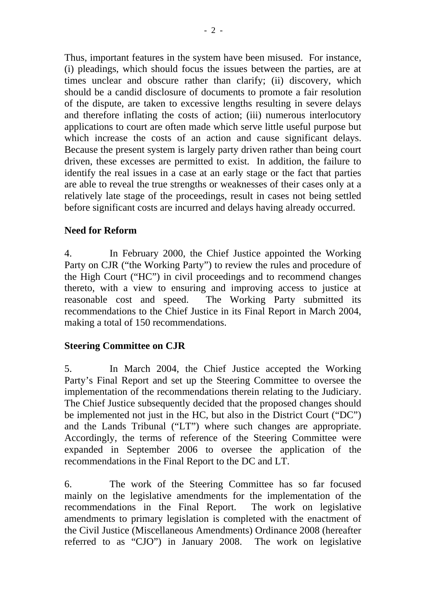Thus, important features in the system have been misused. For instance, (i) pleadings, which should focus the issues between the parties, are at times unclear and obscure rather than clarify; (ii) discovery, which should be a candid disclosure of documents to promote a fair resolution of the dispute, are taken to excessive lengths resulting in severe delays and therefore inflating the costs of action; (iii) numerous interlocutory applications to court are often made which serve little useful purpose but which increase the costs of an action and cause significant delays. Because the present system is largely party driven rather than being court driven, these excesses are permitted to exist. In addition, the failure to identify the real issues in a case at an early stage or the fact that parties are able to reveal the true strengths or weaknesses of their cases only at a relatively late stage of the proceedings, result in cases not being settled before significant costs are incurred and delays having already occurred.

### 4B**Need for Reform**

4. In February 2000, the Chief Justice appointed the Working Party on CJR ("the Working Party") to review the rules and procedure of the High Court ("HC") in civil proceedings and to recommend changes thereto, with a view to ensuring and improving access to justice at reasonable cost and speed. The Working Party submitted its recommendations to the Chief Justice in its Final Report in March 2004, making a total of 150 recommendations.

## **Steering Committee on CJR**

5. In March 2004, the Chief Justice accepted the Working Party's Final Report and set up the Steering Committee to oversee the implementation of the recommendations therein relating to the Judiciary. The Chief Justice subsequently decided that the proposed changes should be implemented not just in the HC, but also in the District Court ("DC") and the Lands Tribunal ("LT") where such changes are appropriate. Accordingly, the terms of reference of the Steering Committee were expanded in September 2006 to oversee the application of the recommendations in the Final Report to the DC and LT.

6. The work of the Steering Committee has so far focused mainly on the legislative amendments for the implementation of the recommendations in the Final Report. The work on legislative amendments to primary legislation is completed with the enactment of the Civil Justice (Miscellaneous Amendments) Ordinance 2008 (hereafter referred to as "CJO") in January 2008. The work on legislative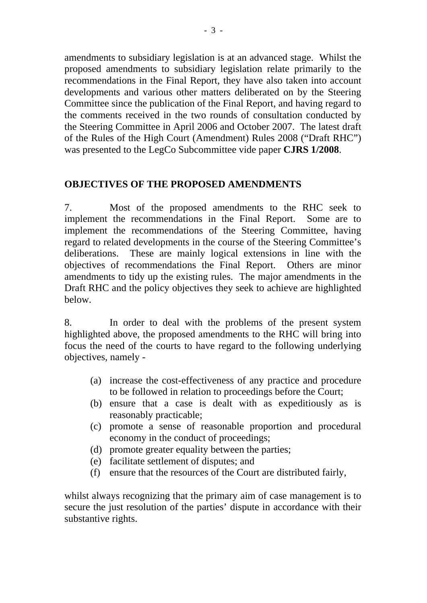amendments to subsidiary legislation is at an advanced stage. Whilst the proposed amendments to subsidiary legislation relate primarily to the recommendations in the Final Report, they have also taken into account developments and various other matters deliberated on by the Steering Committee since the publication of the Final Report, and having regard to the comments received in the two rounds of consultation conducted by the Steering Committee in April 2006 and October 2007. The latest draft of the Rules of the High Court (Amendment) Rules 2008 ("Draft RHC") was presented to the LegCo Subcommittee vide paper **CJRS 1/2008**.

### **OBJECTIVES OF THE PROPOSED AMENDMENTS**

7. Most of the proposed amendments to the RHC seek to implement the recommendations in the Final Report. Some are to implement the recommendations of the Steering Committee, having regard to related developments in the course of the Steering Committee's deliberations. These are mainly logical extensions in line with the objectives of recommendations the Final Report. Others are minor amendments to tidy up the existing rules. The major amendments in the Draft RHC and the policy objectives they seek to achieve are highlighted below.

8. In order to deal with the problems of the present system highlighted above, the proposed amendments to the RHC will bring into focus the need of the courts to have regard to the following underlying objectives, namely -

- (a) increase the cost-effectiveness of any practice and procedure to be followed in relation to proceedings before the Court;
- (b) ensure that a case is dealt with as expeditiously as is reasonably practicable;
- (c) promote a sense of reasonable proportion and procedural economy in the conduct of proceedings;
- (d) promote greater equality between the parties;
- (e) facilitate settlement of disputes; and
- (f) ensure that the resources of the Court are distributed fairly,

whilst always recognizing that the primary aim of case management is to secure the just resolution of the parties' dispute in accordance with their substantive rights.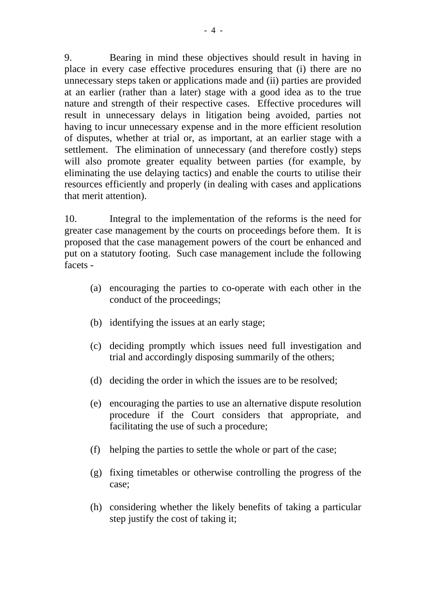9. Bearing in mind these objectives should result in having in place in every case effective procedures ensuring that (i) there are no unnecessary steps taken or applications made and (ii) parties are provided at an earlier (rather than a later) stage with a good idea as to the true nature and strength of their respective cases. Effective procedures will result in unnecessary delays in litigation being avoided, parties not having to incur unnecessary expense and in the more efficient resolution of disputes, whether at trial or, as important, at an earlier stage with a settlement. The elimination of unnecessary (and therefore costly) steps will also promote greater equality between parties (for example, by eliminating the use delaying tactics) and enable the courts to utilise their resources efficiently and properly (in dealing with cases and applications that merit attention).

10. Integral to the implementation of the reforms is the need for greater case management by the courts on proceedings before them. It is proposed that the case management powers of the court be enhanced and put on a statutory footing. Such case management include the following facets -

- (a) encouraging the parties to co-operate with each other in the conduct of the proceedings;
- (b) identifying the issues at an early stage;
- (c) deciding promptly which issues need full investigation and trial and accordingly disposing summarily of the others;
- (d) deciding the order in which the issues are to be resolved;
- (e) encouraging the parties to use an alternative dispute resolution procedure if the Court considers that appropriate, and facilitating the use of such a procedure;
- (f) helping the parties to settle the whole or part of the case;
- (g) fixing timetables or otherwise controlling the progress of the case;
- (h) considering whether the likely benefits of taking a particular step justify the cost of taking it;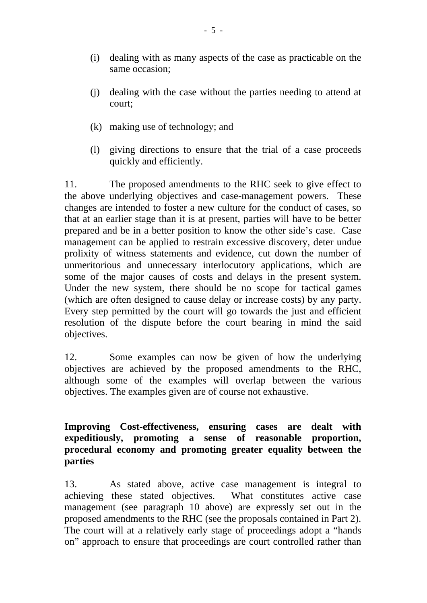- (i) dealing with as many aspects of the case as practicable on the same occasion;
- (j) dealing with the case without the parties needing to attend at court;
- (k) making use of technology; and
- (l) giving directions to ensure that the trial of a case proceeds quickly and efficiently.

11. The proposed amendments to the RHC seek to give effect to the above underlying objectives and case-management powers. These changes are intended to foster a new culture for the conduct of cases, so that at an earlier stage than it is at present, parties will have to be better prepared and be in a better position to know the other side's case. Case management can be applied to restrain excessive discovery, deter undue prolixity of witness statements and evidence, cut down the number of unmeritorious and unnecessary interlocutory applications, which are some of the major causes of costs and delays in the present system. Under the new system, there should be no scope for tactical games (which are often designed to cause delay or increase costs) by any party. Every step permitted by the court will go towards the just and efficient resolution of the dispute before the court bearing in mind the said objectives.

12. Some examples can now be given of how the underlying objectives are achieved by the proposed amendments to the RHC, although some of the examples will overlap between the various objectives. The examples given are of course not exhaustive.

6B**Improving Cost-effectiveness, ensuring cases are dealt with expeditiously, promoting a sense of reasonable proportion, procedural economy and promoting greater equality between the parties** 

13. As stated above, active case management is integral to achieving these stated objectives. What constitutes active case management (see paragraph 10 above) are expressly set out in the proposed amendments to the RHC (see the proposals contained in Part 2). The court will at a relatively early stage of proceedings adopt a "hands on" approach to ensure that proceedings are court controlled rather than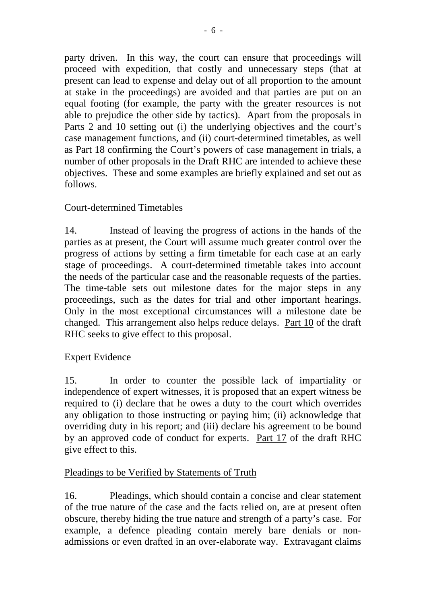party driven. In this way, the court can ensure that proceedings will proceed with expedition, that costly and unnecessary steps (that at present can lead to expense and delay out of all proportion to the amount at stake in the proceedings) are avoided and that parties are put on an equal footing (for example, the party with the greater resources is not able to prejudice the other side by tactics). Apart from the proposals in Parts 2 and 10 setting out (i) the underlying objectives and the court's case management functions, and (ii) court-determined timetables, as well as Part 18 confirming the Court's powers of case management in trials, a number of other proposals in the Draft RHC are intended to achieve these objectives. These and some examples are briefly explained and set out as follows.

## <sup>U</sup>Court-determined Timetables

14. Instead of leaving the progress of actions in the hands of the parties as at present, the Court will assume much greater control over the progress of actions by setting a firm timetable for each case at an early stage of proceedings. A court-determined timetable takes into account the needs of the particular case and the reasonable requests of the parties. The time-table sets out milestone dates for the major steps in any proceedings, such as the dates for trial and other important hearings. Only in the most exceptional circumstances will a milestone date be changed. This arrangement also helps reduce delays. Part 10 of the draft RHC seeks to give effect to this proposal.

### **Expert Evidence**

15. In order to counter the possible lack of impartiality or independence of expert witnesses, it is proposed that an expert witness be required to (i) declare that he owes a duty to the court which overrides any obligation to those instructing or paying him; (ii) acknowledge that overriding duty in his report; and (iii) declare his agreement to be bound by an approved code of conduct for experts. Part 17 of the draft RHC give effect to this.

### Pleadings to be Verified by Statements of Truth

16. Pleadings, which should contain a concise and clear statement of the true nature of the case and the facts relied on, are at present often obscure, thereby hiding the true nature and strength of a party's case. For example, a defence pleading contain merely bare denials or nonadmissions or even drafted in an over-elaborate way. Extravagant claims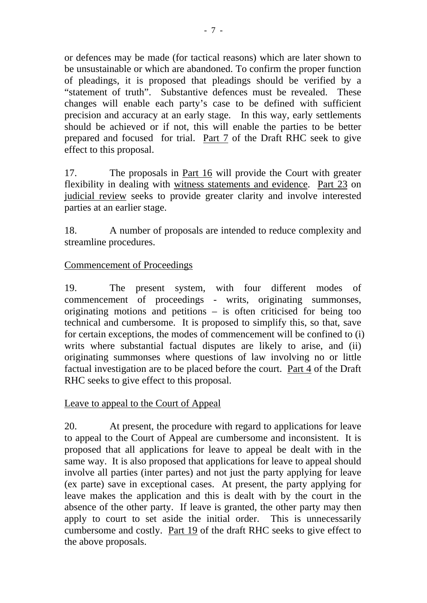or defences may be made (for tactical reasons) which are later shown to be unsustainable or which are abandoned. To confirm the proper function of pleadings, it is proposed that pleadings should be verified by a "statement of truth". Substantive defences must be revealed. These changes will enable each party's case to be defined with sufficient precision and accuracy at an early stage. In this way, early settlements should be achieved or if not, this will enable the parties to be better prepared and focused for trial. Part 7 of the Draft RHC seek to give effect to this proposal.

17. The proposals in Part 16 will provide the Court with greater flexibility in dealing with witness statements and evidence. Part 23 on judicial review seeks to provide greater clarity and involve interested parties at an earlier stage.

18. A number of proposals are intended to reduce complexity and streamline procedures.

### Commencement of Proceedings

19. The present system, with four different modes of commencement of proceedings - writs, originating summonses, originating motions and petitions – is often criticised for being too technical and cumbersome. It is proposed to simplify this, so that, save for certain exceptions, the modes of commencement will be confined to (i) writs where substantial factual disputes are likely to arise, and (ii) originating summonses where questions of law involving no or little factual investigation are to be placed before the court. Part 4 of the Draft RHC seeks to give effect to this proposal.

## Leave to appeal to the Court of Appeal

20. At present, the procedure with regard to applications for leave to appeal to the Court of Appeal are cumbersome and inconsistent. It is proposed that all applications for leave to appeal be dealt with in the same way. It is also proposed that applications for leave to appeal should involve all parties (inter partes) and not just the party applying for leave (ex parte) save in exceptional cases. At present, the party applying for leave makes the application and this is dealt with by the court in the absence of the other party. If leave is granted, the other party may then apply to court to set aside the initial order. This is unnecessarily cumbersome and costly. Part 19 of the draft RHC seeks to give effect to the above proposals.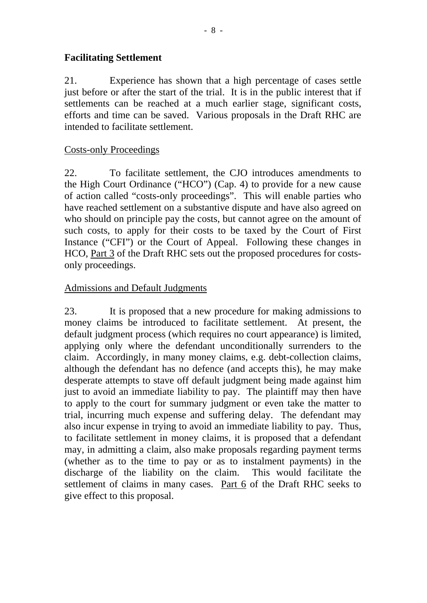### **Facilitating Settlement**

21. Experience has shown that a high percentage of cases settle just before or after the start of the trial. It is in the public interest that if settlements can be reached at a much earlier stage, significant costs, efforts and time can be saved. Various proposals in the Draft RHC are intended to facilitate settlement.

### Costs-only Proceedings

22. To facilitate settlement, the CJO introduces amendments to the High Court Ordinance ("HCO") (Cap. 4) to provide for a new cause of action called "costs-only proceedings". This will enable parties who have reached settlement on a substantive dispute and have also agreed on who should on principle pay the costs, but cannot agree on the amount of such costs, to apply for their costs to be taxed by the Court of First Instance ("CFI") or the Court of Appeal. Following these changes in HCO, Part 3 of the Draft RHC sets out the proposed procedures for costsonly proceedings.

### Admissions and Default Judgments

23. It is proposed that a new procedure for making admissions to money claims be introduced to facilitate settlement. At present, the default judgment process (which requires no court appearance) is limited, applying only where the defendant unconditionally surrenders to the claim. Accordingly, in many money claims, e.g. debt-collection claims, although the defendant has no defence (and accepts this), he may make desperate attempts to stave off default judgment being made against him just to avoid an immediate liability to pay. The plaintiff may then have to apply to the court for summary judgment or even take the matter to trial, incurring much expense and suffering delay. The defendant may also incur expense in trying to avoid an immediate liability to pay. Thus, to facilitate settlement in money claims, it is proposed that a defendant may, in admitting a claim, also make proposals regarding payment terms (whether as to the time to pay or as to instalment payments) in the discharge of the liability on the claim. This would facilitate the settlement of claims in many cases. Part 6 of the Draft RHC seeks to give effect to this proposal.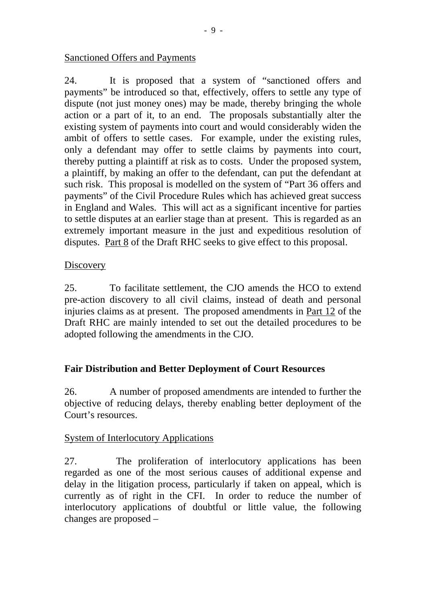#### Sanctioned Offers and Payments

24. It is proposed that a system of "sanctioned offers and payments" be introduced so that, effectively, offers to settle any type of dispute (not just money ones) may be made, thereby bringing the whole action or a part of it, to an end. The proposals substantially alter the existing system of payments into court and would considerably widen the ambit of offers to settle cases. For example, under the existing rules, only a defendant may offer to settle claims by payments into court, thereby putting a plaintiff at risk as to costs. Under the proposed system, a plaintiff, by making an offer to the defendant, can put the defendant at such risk. This proposal is modelled on the system of "Part 36 offers and payments" of the Civil Procedure Rules which has achieved great success in England and Wales. This will act as a significant incentive for parties to settle disputes at an earlier stage than at present. This is regarded as an extremely important measure in the just and expeditious resolution of disputes. Part 8 of the Draft RHC seeks to give effect to this proposal.

### Discovery

25. To facilitate settlement, the CJO amends the HCO to extend pre-action discovery to all civil claims, instead of death and personal injuries claims as at present. The proposed amendments in Part 12 of the Draft RHC are mainly intended to set out the detailed procedures to be adopted following the amendments in the CJO.

### **Fair Distribution and Better Deployment of Court Resources**

26. A number of proposed amendments are intended to further the objective of reducing delays, thereby enabling better deployment of the Court's resources.

### System of Interlocutory Applications

27. The proliferation of interlocutory applications has been regarded as one of the most serious causes of additional expense and delay in the litigation process, particularly if taken on appeal, which is currently as of right in the CFI. In order to reduce the number of interlocutory applications of doubtful or little value, the following changes are proposed –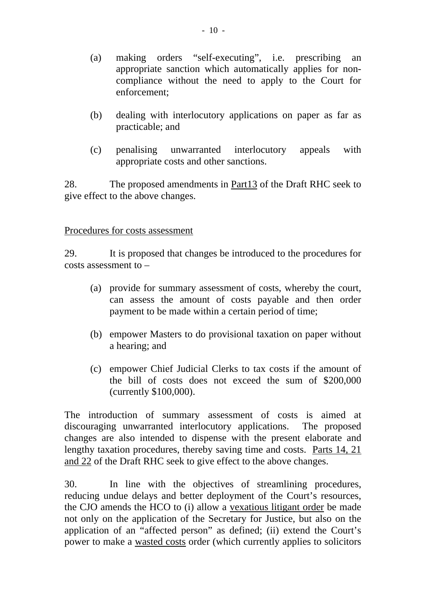- (a) making orders "self-executing", i.e. prescribing an appropriate sanction which automatically applies for noncompliance without the need to apply to the Court for enforcement;
- (b) dealing with interlocutory applications on paper as far as practicable; and
- (c) penalising unwarranted interlocutory appeals with appropriate costs and other sanctions.

28. The proposed amendments in Part13 of the Draft RHC seek to give effect to the above changes.

#### Procedures for costs assessment

29. It is proposed that changes be introduced to the procedures for costs assessment to –

- (a) provide for summary assessment of costs, whereby the court, can assess the amount of costs payable and then order payment to be made within a certain period of time;
- (b) empower Masters to do provisional taxation on paper without a hearing; and
- (c) empower Chief Judicial Clerks to tax costs if the amount of the bill of costs does not exceed the sum of \$200,000 (currently \$100,000).

The introduction of summary assessment of costs is aimed at discouraging unwarranted interlocutory applications. The proposed changes are also intended to dispense with the present elaborate and lengthy taxation procedures, thereby saving time and costs. Parts 14, 21 and 22 of the Draft RHC seek to give effect to the above changes.

30. In line with the objectives of streamlining procedures, reducing undue delays and better deployment of the Court's resources, the CJO amends the HCO to (i) allow a vexatious litigant order be made not only on the application of the Secretary for Justice, but also on the application of an "affected person" as defined; (ii) extend the Court's power to make a wasted costs order (which currently applies to solicitors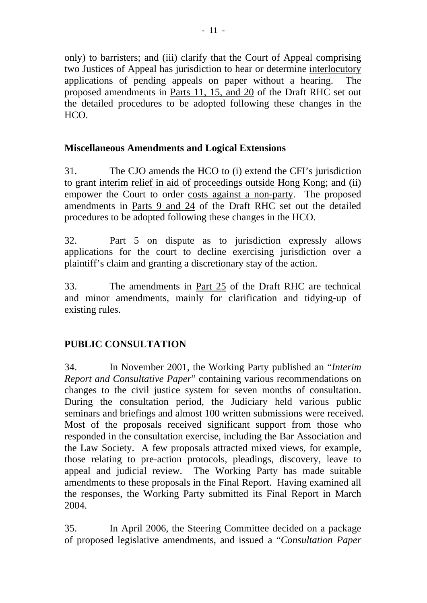only) to barristers; and (iii) clarify that the Court of Appeal comprising two Justices of Appeal has jurisdiction to hear or determine interlocutory applications of pending appeals on paper without a hearing. The proposed amendments in Parts 11, 15, and 20 of the Draft RHC set out the detailed procedures to be adopted following these changes in the HCO.

## 8B**Miscellaneous Amendments and Logical Extensions**

31. The CJO amends the HCO to (i) extend the CFI's jurisdiction to grant interim relief in aid of proceedings outside Hong Kong; and (ii) empower the Court to order costs against a non-party. The proposed amendments in Parts 9 and 24 of the Draft RHC set out the detailed procedures to be adopted following these changes in the HCO.

32. Part 5 on dispute as to jurisdiction expressly allows applications for the court to decline exercising jurisdiction over a plaintiff's claim and granting a discretionary stay of the action.

33. The amendments in Part 25 of the Draft RHC are technical and minor amendments, mainly for clarification and tidying-up of existing rules.

# 9B**PUBLIC CONSULTATION**

34. In November 2001, the Working Party published an "*Interim Report and Consultative Paper*" containing various recommendations on changes to the civil justice system for seven months of consultation. During the consultation period, the Judiciary held various public seminars and briefings and almost 100 written submissions were received. Most of the proposals received significant support from those who responded in the consultation exercise, including the Bar Association and the Law Society. A few proposals attracted mixed views, for example, those relating to pre-action protocols, pleadings, discovery, leave to appeal and judicial review. The Working Party has made suitable amendments to these proposals in the Final Report. Having examined all the responses, the Working Party submitted its Final Report in March 2004.

35. In April 2006, the Steering Committee decided on a package of proposed legislative amendments, and issued a "*Consultation Paper*